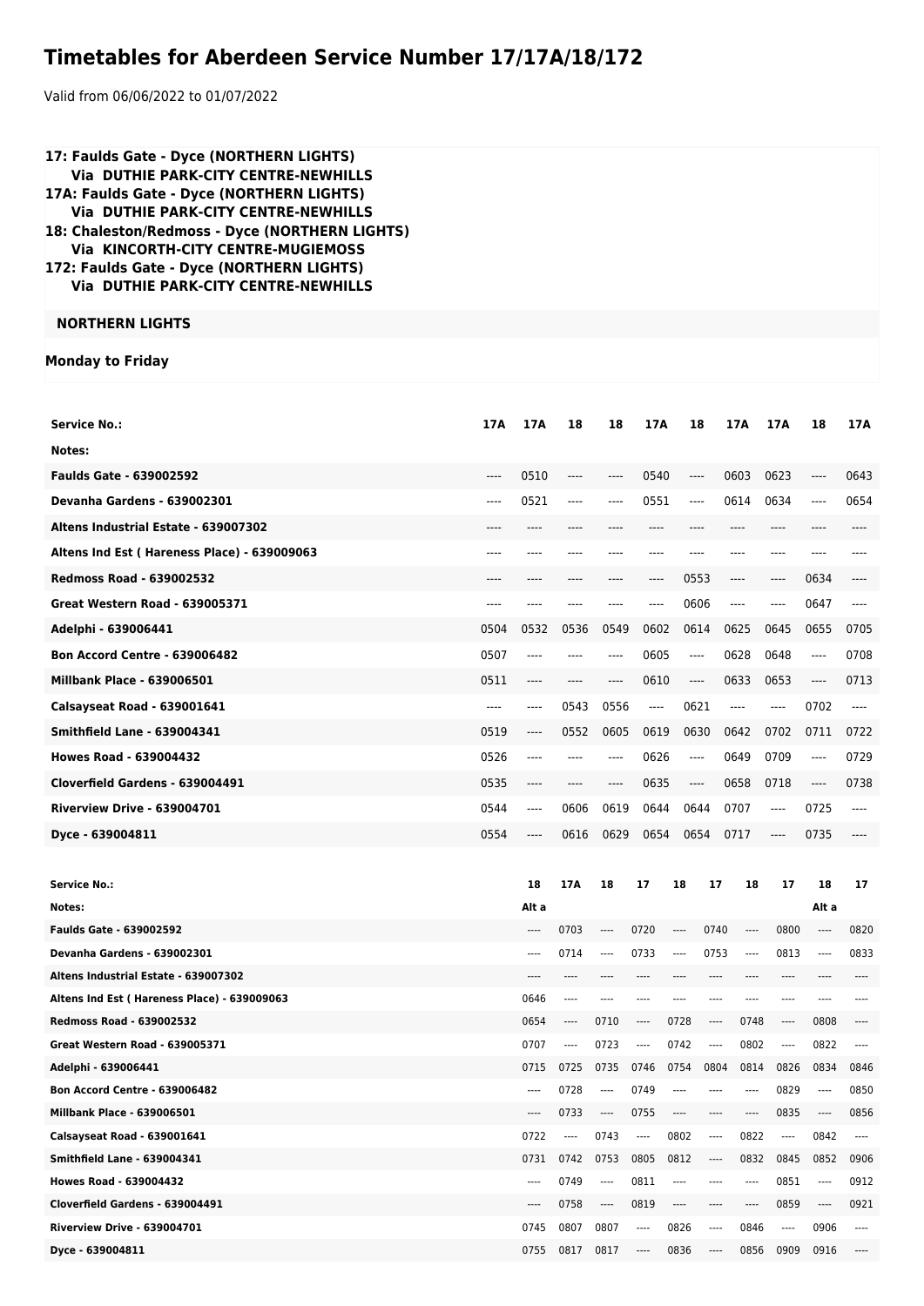## **Timetables for Aberdeen Service Number 17/17A/18/172**

Valid from 06/06/2022 to 01/07/2022

| 17: Faulds Gate - Dyce (NORTHERN LIGHTS)<br><b>Via DUTHIE PARK-CITY CENTRE-NEWHILLS</b><br>17A: Faulds Gate - Dyce (NORTHERN LIGHTS)<br>Via DUTHIE PARK-CITY CENTRE-NEWHILLS<br>18: Chaleston/Redmoss - Dyce (NORTHERN LIGHTS)<br><b>Via KINCORTH-CITY CENTRE-MUGIEMOSS</b><br>172: Faulds Gate - Dyce (NORTHERN LIGHTS)<br>Via DUTHIE PARK-CITY CENTRE-NEWHILLS |      |                               |                  |                  |                               |                |                               |                               |              |                               |              |
|------------------------------------------------------------------------------------------------------------------------------------------------------------------------------------------------------------------------------------------------------------------------------------------------------------------------------------------------------------------|------|-------------------------------|------------------|------------------|-------------------------------|----------------|-------------------------------|-------------------------------|--------------|-------------------------------|--------------|
| <b>NORTHERN LIGHTS</b>                                                                                                                                                                                                                                                                                                                                           |      |                               |                  |                  |                               |                |                               |                               |              |                               |              |
| <b>Monday to Friday</b>                                                                                                                                                                                                                                                                                                                                          |      |                               |                  |                  |                               |                |                               |                               |              |                               |              |
| <b>Service No.:</b>                                                                                                                                                                                                                                                                                                                                              | 17A  | 17A                           | 18               | 18               | 17A                           |                | 18                            | 17A                           | 17A          | 18                            | 17A          |
| Notes:                                                                                                                                                                                                                                                                                                                                                           |      |                               |                  |                  |                               |                |                               |                               |              |                               |              |
| <b>Faulds Gate - 639002592</b>                                                                                                                                                                                                                                                                                                                                   | ---- | 0510                          | ----             | ----             | 0540                          |                | $\hspace{1.5cm} \textbf{---}$ | 0603                          | 0623         | ----                          | 0643         |
| Devanha Gardens - 639002301                                                                                                                                                                                                                                                                                                                                      | ---- | 0521                          | ----             | ----             | 0551                          |                | ----                          | 0614                          | 0634         | ----                          | 0654         |
| Altens Industrial Estate - 639007302                                                                                                                                                                                                                                                                                                                             |      |                               |                  |                  |                               |                |                               |                               |              |                               |              |
| Altens Ind Est (Hareness Place) - 639009063                                                                                                                                                                                                                                                                                                                      | ---- |                               |                  |                  |                               |                | $---$                         |                               | ----         |                               |              |
| <b>Redmoss Road - 639002532</b>                                                                                                                                                                                                                                                                                                                                  | ---- | ----                          | ----             | ----             | ----                          |                | 0553                          | ----                          | ----         | 0634                          | ----         |
| Great Western Road - 639005371                                                                                                                                                                                                                                                                                                                                   | ---- |                               |                  |                  | ----                          |                | 0606                          | $\hspace{1.5cm} \textbf{---}$ | ----         | 0647                          | ----         |
| Adelphi - 639006441                                                                                                                                                                                                                                                                                                                                              | 0504 | 0532                          | 0536             | 0549             | 0602                          |                | 0614                          | 0625                          | 0645         | 0655                          | 0705         |
| <b>Bon Accord Centre - 639006482</b>                                                                                                                                                                                                                                                                                                                             | 0507 | $-----$                       | ----             | $\cdots$         | 0605                          |                | $\overline{\phantom{a}}$      | 0628                          | 0648         | ----                          | 0708         |
| <b>Millbank Place - 639006501</b>                                                                                                                                                                                                                                                                                                                                | 0511 | $---$                         | $---$            | ----             | 0610                          |                | ----                          | 0633                          | 0653         | $\cdots$                      | 0713         |
| Calsayseat Road - 639001641                                                                                                                                                                                                                                                                                                                                      | ---- | $\hspace{1.5cm} \textbf{---}$ | 0543             | 0556             | $\hspace{1.5cm} \textbf{---}$ |                | 0621                          | $\hspace{1.5cm} \textbf{---}$ | $\cdots$     | 0702                          | $\cdots$     |
| <b>Smithfield Lane - 639004341</b>                                                                                                                                                                                                                                                                                                                               | 0519 | ----                          | 0552             | 0605             | 0619                          |                | 0630                          | 0642                          | 0702         | 0711                          | 0722         |
| <b>Howes Road - 639004432</b>                                                                                                                                                                                                                                                                                                                                    | 0526 | $\hspace{1.5cm} \textbf{---}$ | ----             | $---$            | 0626                          |                | ----                          | 0649                          | 0709         | $\cdots$                      | 0729         |
| Cloverfield Gardens - 639004491                                                                                                                                                                                                                                                                                                                                  | 0535 | $---$                         | $---$            | $\cdots$         | 0635                          |                | $\hspace{1.5cm} \textbf{---}$ | 0658                          | 0718         | $\hspace{1.5cm} \textbf{---}$ | 0738         |
| <b>Riverview Drive - 639004701</b>                                                                                                                                                                                                                                                                                                                               | 0544 | $\cdots$                      | 0606             | 0619             | 0644                          |                | 0644                          | 0707                          | ----         | 0725                          | $---$        |
| Dyce - 639004811                                                                                                                                                                                                                                                                                                                                                 | 0554 |                               |                  | 0616 0629        |                               | 0654 0654 0717 |                               |                               |              | 0735                          |              |
|                                                                                                                                                                                                                                                                                                                                                                  |      |                               |                  |                  |                               |                |                               |                               |              |                               |              |
| <b>Service No.:</b>                                                                                                                                                                                                                                                                                                                                              |      | 18                            | 17A              | 18               | 17                            | 18             | 17                            | 18                            | 17           | 18                            | 17           |
| Notes:                                                                                                                                                                                                                                                                                                                                                           |      | Alt a                         |                  |                  |                               |                |                               |                               |              | Alt a                         |              |
| <b>Faulds Gate - 639002592</b>                                                                                                                                                                                                                                                                                                                                   |      | $\cdots$                      | 0703             | ----             | 0720                          | $---$          | 0740                          | $\cdots$                      | 0800         | ----                          | 0820         |
| Devanha Gardens - 639002301                                                                                                                                                                                                                                                                                                                                      |      | $\cdots$                      | 0714             | $\cdots$         | 0733                          | $---$          | 0753                          | ----                          | 0813         | $---$                         | 0833         |
| Altens Industrial Estate - 639007302                                                                                                                                                                                                                                                                                                                             |      | $---$                         | ----             | ----             | ----                          | ----           | ----                          |                               | ----         | ----                          | ----         |
| Altens Ind Est (Hareness Place) - 639009063                                                                                                                                                                                                                                                                                                                      |      | 0646                          | $\cdots$         | $---$            | $---$                         | ----           | ----                          |                               | $---$        | $1 - 1 - 1 = 1$               | ----         |
| <b>Redmoss Road - 639002532</b>                                                                                                                                                                                                                                                                                                                                  |      | 0654                          | $\cdots$         | 0710             | ----                          | 0728           | ----                          | 0748                          | $---$        | 0808                          | ----         |
| Great Western Road - 639005371                                                                                                                                                                                                                                                                                                                                   |      | 0707                          | $\cdots$<br>0725 | 0723             | $\cdots$<br>0746              | 0742           | $\cdots$                      | 0802<br>0814                  | $\cdots$     | 0822                          | $\cdots$     |
| Adelphi - 639006441<br><b>Bon Accord Centre - 639006482</b>                                                                                                                                                                                                                                                                                                      |      | 0715<br>$---$                 | 0728             | 0735<br>$\cdots$ | 0749                          | 0754<br>$---$  | 0804<br>----                  | ----                          | 0826<br>0829 | 0834<br>$\cdots$              | 0846<br>0850 |
| <b>Millbank Place - 639006501</b>                                                                                                                                                                                                                                                                                                                                |      | $\cdots$                      | 0733             | $\cdots$         | 0755                          | $---$          | ----                          | ----                          | 0835         | $\cdots$                      | 0856         |
| Calsayseat Road - 639001641                                                                                                                                                                                                                                                                                                                                      |      | 0722                          | ----             | 0743             | ----                          | 0802           | $\cdots$                      | 0822                          | ----         | 0842                          | ----         |
| <b>Smithfield Lane - 639004341</b>                                                                                                                                                                                                                                                                                                                               |      | 0731                          | 0742             | 0753             | 0805                          | 0812           | ----                          | 0832                          | 0845         | 0852                          | 0906         |
| <b>Howes Road - 639004432</b>                                                                                                                                                                                                                                                                                                                                    |      | $- - - -$                     | 0749             | $\cdots$         | 0811                          | $---$          | ----                          | ----                          | 0851         | $\cdots$                      | 0912         |
| Cloverfield Gardens - 639004491                                                                                                                                                                                                                                                                                                                                  |      | $\cdots$                      | 0758             | $\cdots$         | 0819                          | $---$          | ----                          | ----                          | 0859         | ----                          | 0921         |
| <b>Riverview Drive - 639004701</b>                                                                                                                                                                                                                                                                                                                               |      | 0745                          | 0807             | 0807             | $\cdots$                      | 0826           | $\cdots$                      | 0846                          | $\cdots$     | 0906                          | $\cdots$     |

**Dyce - 639004811 Dyce - 639004811 Dyce - 639004811 Dyce - 639004811 Dyce - 639004811 Dyce - 639004811 Dyce - 639004811**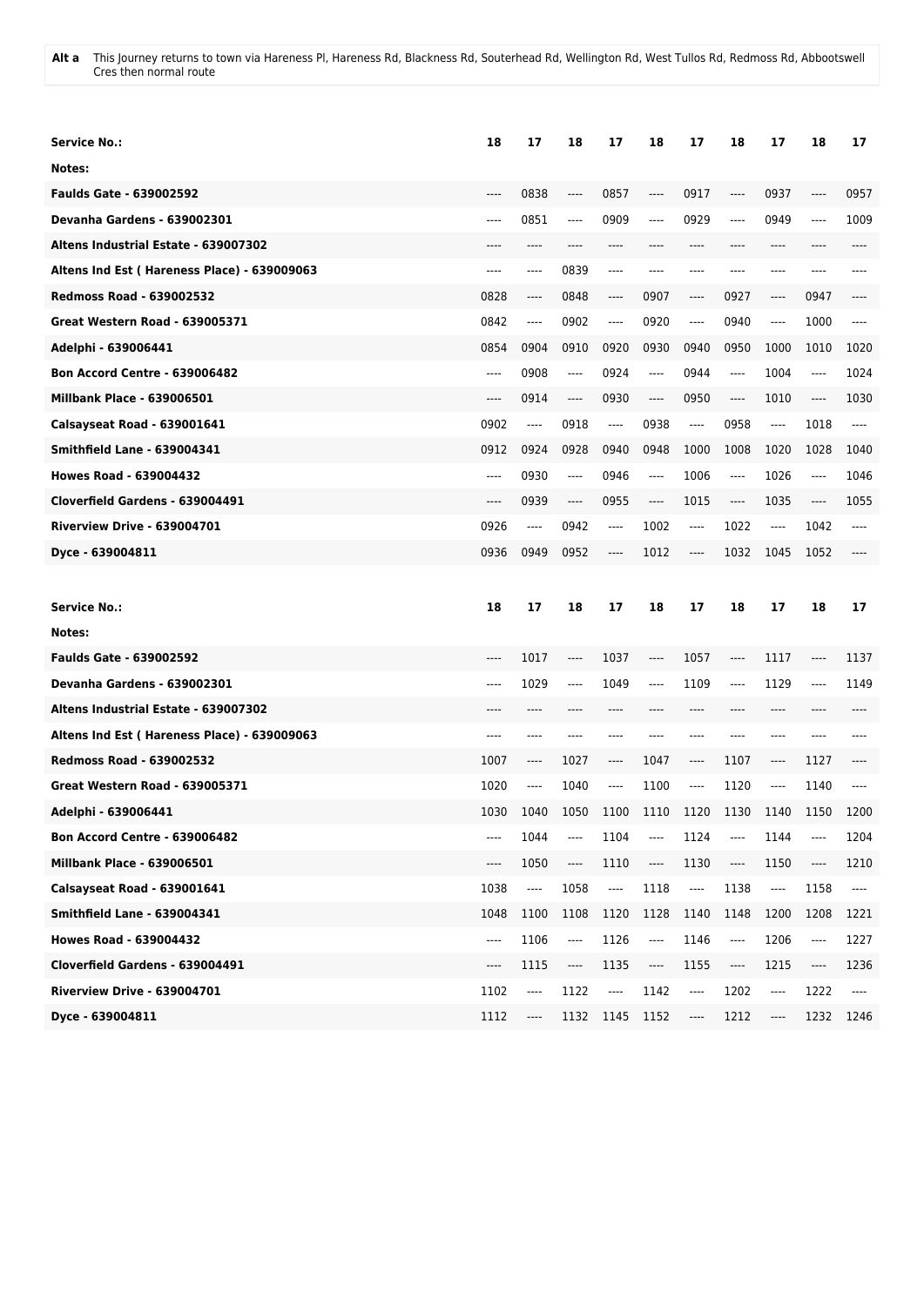**Alt a** This Journey returns to town via Hareness Pl, Hareness Rd, Blackness Rd, Souterhead Rd, Wellington Rd, West Tullos Rd, Redmoss Rd, Abbootswell Cres then normal route

| Service No.:                                | 18   | 17                      | 18                            | 17                                                   | 18                            | 17                            | 18      | 17       | 18       | 17                                       |
|---------------------------------------------|------|-------------------------|-------------------------------|------------------------------------------------------|-------------------------------|-------------------------------|---------|----------|----------|------------------------------------------|
| Notes:                                      |      |                         |                               |                                                      |                               |                               |         |          |          |                                          |
| <b>Faulds Gate - 639002592</b>              | ---- | 0838                    | $-----$                       | 0857                                                 | ----                          | 0917                          | ----    | 0937     | $---$    | 0957                                     |
| Devanha Gardens - 639002301                 | ---- | 0851                    | $---$                         | 0909                                                 | $---$                         | 0929                          | $---$   | 0949     | $---$    | 1009                                     |
| Altens Industrial Estate - 639007302        | ---- | ----                    | ----                          | ----                                                 | ----                          | $---$                         | $---$   | ----     | $---$    | ----                                     |
| Altens Ind Est (Hareness Place) - 639009063 | ---- | ----                    | 0839                          | ----                                                 | ----                          | $---$                         | ----    | ----     | ----     |                                          |
| <b>Redmoss Road - 639002532</b>             | 0828 | ----                    | 0848                          | ----                                                 | 0907                          | $\hspace{1.5cm} \textbf{---}$ | 0927    | ----     | 0947     | ----                                     |
| <b>Great Western Road - 639005371</b>       | 0842 | ----                    | 0902                          | ----                                                 | 0920                          | $\cdots$                      | 0940    | ----     | 1000     | ----                                     |
| Adelphi - 639006441                         | 0854 | 0904                    | 0910                          | 0920                                                 | 0930                          | 0940                          | 0950    | 1000     | 1010     | 1020                                     |
| <b>Bon Accord Centre - 639006482</b>        | ---- | 0908                    | $---$                         | 0924                                                 | $-----$                       | 0944                          | ----    | 1004     | $\cdots$ | 1024                                     |
| <b>Millbank Place - 639006501</b>           | ---- | 0914                    | $-----$                       | 0930                                                 | ----                          | 0950                          | ----    | 1010     | $---$    | 1030                                     |
| Calsayseat Road - 639001641                 | 0902 | $---$                   | 0918                          | ----                                                 | 0938                          | $\cdots$                      | 0958    | ----     | 1018     | ----                                     |
| <b>Smithfield Lane - 639004341</b>          | 0912 | 0924                    | 0928                          | 0940                                                 | 0948                          | 1000                          | 1008    | 1020     | 1028     | 1040                                     |
| <b>Howes Road - 639004432</b>               | ---- | 0930                    | $---$                         | 0946                                                 | $-----$                       | 1006                          | ----    | 1026     | $\cdots$ | 1046                                     |
| Cloverfield Gardens - 639004491             | ---- | 0939                    | $-----$                       | 0955                                                 | $\hspace{1.5cm} \textbf{---}$ | 1015                          | ----    | 1035     | $-----$  | 1055                                     |
| <b>Riverview Drive - 639004701</b>          | 0926 | ----                    | 0942                          | ----                                                 | 1002                          | ----                          | 1022    | ----     | 1042     | ----                                     |
| Dyce - 639004811                            | 0936 | 0949                    | 0952                          | ----                                                 | 1012                          | $\hspace{1.5cm} \textbf{---}$ | 1032    | 1045     | 1052     | ----                                     |
|                                             |      |                         |                               |                                                      |                               |                               |         |          |          |                                          |
|                                             |      |                         |                               |                                                      |                               |                               |         |          |          |                                          |
| <b>Service No.:</b>                         | 18   | 17                      | 18                            | 17                                                   | 18                            | 17                            | 18      | 17       | 18       | 17                                       |
| Notes:                                      |      |                         |                               |                                                      |                               |                               |         |          |          |                                          |
| <b>Faulds Gate - 639002592</b>              | ---- | 1017                    | ----                          | 1037                                                 | ----                          | 1057                          | ----    | 1117     | ----     | 1137                                     |
| <b>Devanha Gardens - 639002301</b>          | ---- | 1029                    | ----                          | 1049                                                 | ----                          | 1109                          | $-----$ | 1129     | ----     | 1149                                     |
| Altens Industrial Estate - 639007302        | ---- |                         |                               |                                                      |                               | ----                          | ----    | ----     |          |                                          |
| Altens Ind Est (Hareness Place) - 639009063 | ---- |                         |                               |                                                      |                               |                               |         |          |          |                                          |
| <b>Redmoss Road - 639002532</b>             | 1007 | ----                    | 1027                          | ----                                                 | 1047                          | $-----$                       | 1107    | ----     | 1127     |                                          |
| Great Western Road - 639005371              | 1020 | ----                    | 1040                          | ----                                                 | 1100                          | ----                          | 1120    | ----     | 1140     |                                          |
| Adelphi - 639006441                         | 1030 | 1040                    | 1050                          | 1100                                                 | 1110                          | 1120                          | 1130    | 1140     | 1150     | 1200                                     |
| <b>Bon Accord Centre - 639006482</b>        | ---- | 1044                    | ----                          | 1104                                                 | $\overline{\phantom{a}}$      | 1124                          | ----    | 1144     | $\cdots$ | 1204                                     |
| <b>Millbank Place - 639006501</b>           | ---- | 1050                    | $\hspace{1.5cm} \textbf{---}$ | 1110                                                 | $\overline{\phantom{a}}$      | 1130                          | ----    | 1150     | ----     | 1210                                     |
| Calsayseat Road - 639001641                 | 1038 | $\hspace{0.05cm}\ldots$ | 1058                          | $\hspace{0.05cm}\rule{0.7pt}{0.1ex}\hspace{0.025cm}$ | 1118                          | $\cdots$                      | 1138    | $\cdots$ | 1158     | $\overline{\phantom{a}}$                 |
| <b>Smithfield Lane - 639004341</b>          | 1048 | 1100                    | 1108                          | 1120                                                 | 1128                          | 1140                          | 1148    | 1200     | 1208     | 1221                                     |
| Howes Road - 639004432                      | ---- | 1106                    | ----                          | 1126                                                 | $\overline{\phantom{a}}$      | 1146                          | ----    | 1206     | $\cdots$ | 1227                                     |
| Cloverfield Gardens - 639004491             | ---- | 1115                    | ----                          | 1135                                                 | ----                          | 1155                          | ----    | 1215     | ----     | 1236                                     |
| Riverview Drive - 639004701                 | 1102 | ----                    | 1122                          | $\overline{\phantom{a}}$                             | 1142                          | $\overline{\phantom{a}}$      | 1202    | ----     | 1222     | $\hspace{0.05cm} \ldots \hspace{0.05cm}$ |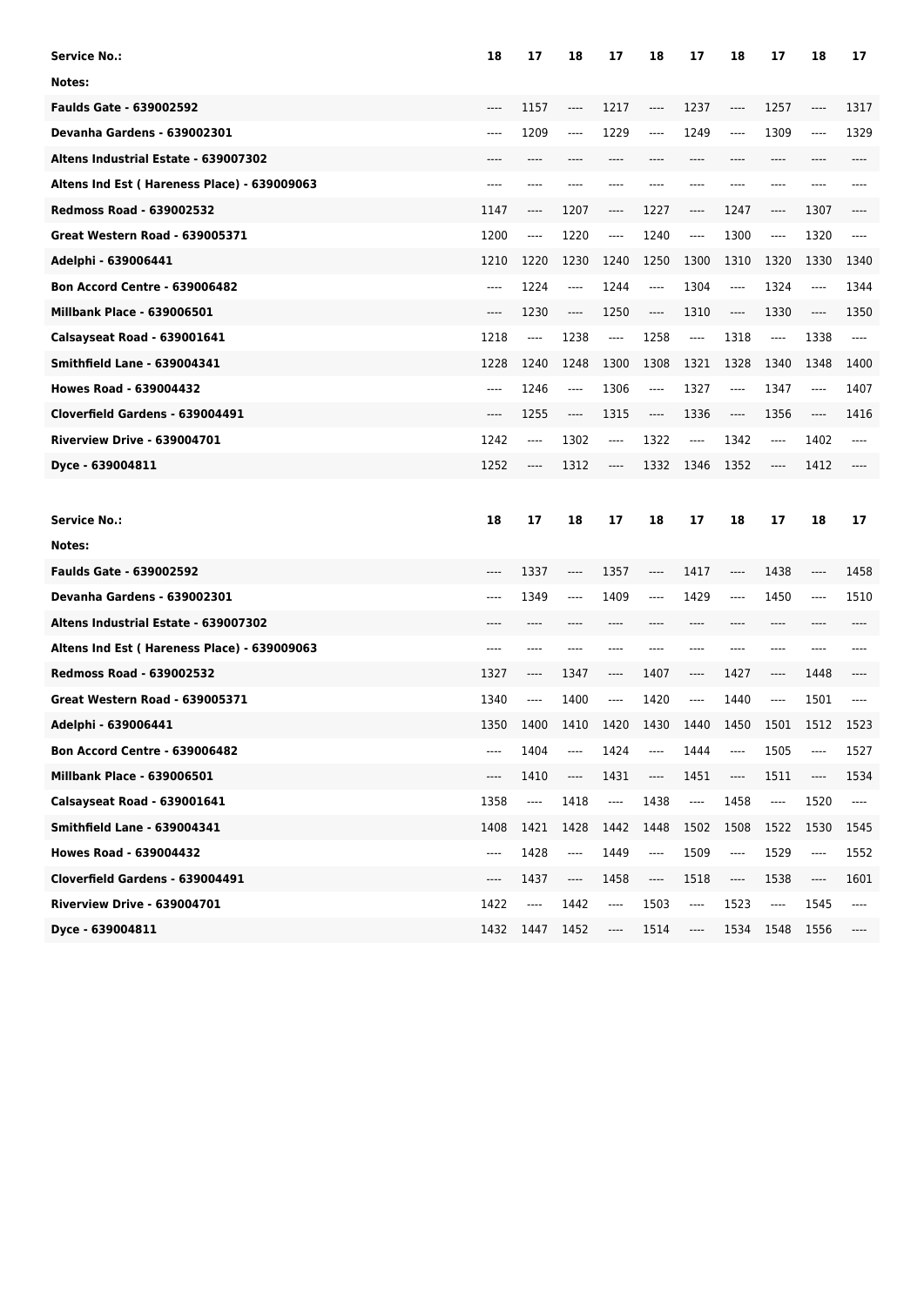| <b>Service No.:</b>                         | 18    | 17       | 18                            | 17       | 18                                                          | 17                            | 18   | 17                              | 18       | 17       |
|---------------------------------------------|-------|----------|-------------------------------|----------|-------------------------------------------------------------|-------------------------------|------|---------------------------------|----------|----------|
| Notes:                                      |       |          |                               |          |                                                             |                               |      |                                 |          |          |
| <b>Faulds Gate - 639002592</b>              | ----  | 1157     | $---$                         | 1217     | ----                                                        | 1237                          | ---- | 1257                            | ----     | 1317     |
| Devanha Gardens - 639002301                 | ----  | 1209     | $---$                         | 1229     | ----                                                        | 1249                          | ---- | 1309                            | ----     | 1329     |
| Altens Industrial Estate - 639007302        | $---$ | ----     | ----                          | ----     |                                                             | ----                          | ---- | ----                            | ----     | ----     |
| Altens Ind Est (Hareness Place) - 639009063 | ----  | ----     |                               | ----     |                                                             |                               |      | ----                            |          |          |
| <b>Redmoss Road - 639002532</b>             | 1147  | ----     | 1207                          | ----     | 1227                                                        | $-----$                       | 1247 | ----                            | 1307     |          |
| <b>Great Western Road - 639005371</b>       | 1200  | $\cdots$ | 1220                          | $\cdots$ | 1240                                                        | $---$                         | 1300 | ----                            | 1320     | $---$    |
| Adelphi - 639006441                         | 1210  | 1220     | 1230                          | 1240     | 1250                                                        | 1300                          | 1310 | 1320                            | 1330     | 1340     |
| <b>Bon Accord Centre - 639006482</b>        | ----  | 1224     | $---$                         | 1244     | $\cdots$                                                    | 1304                          | ---- | 1324                            | ----     | 1344     |
| <b>Millbank Place - 639006501</b>           | $---$ | 1230     | $\hspace{1.5cm} \textbf{---}$ | 1250     | ----                                                        | 1310                          | ---- | 1330                            | $\cdots$ | 1350     |
| Calsayseat Road - 639001641                 | 1218  | ----     | 1238                          | ----     | 1258                                                        | ----                          | 1318 | $\hspace{0.015cm} \textbf{---}$ | 1338     | ----     |
| <b>Smithfield Lane - 639004341</b>          | 1228  | 1240     | 1248                          | 1300     | 1308                                                        | 1321                          | 1328 | 1340                            | 1348     | 1400     |
| <b>Howes Road - 639004432</b>               | ----  | 1246     | $---$                         | 1306     | $\hspace{1.5cm} \textbf{---}$                               | 1327                          | ---- | 1347                            | ----     | 1407     |
| Cloverfield Gardens - 639004491             | ----  | 1255     | ----                          | 1315     | ----                                                        | 1336                          | ---- | 1356                            | ----     | 1416     |
| <b>Riverview Drive - 639004701</b>          | 1242  | ----     | 1302                          | ----     | 1322                                                        | $\hspace{1.5cm} \textbf{---}$ | 1342 | ----                            | 1402     | $-----$  |
| Dyce - 639004811                            | 1252  | ----     | 1312                          | ----     | 1332                                                        | 1346                          | 1352 | ----                            | 1412     |          |
|                                             |       |          |                               |          |                                                             |                               |      |                                 |          |          |
|                                             |       |          |                               |          |                                                             |                               |      |                                 |          |          |
| <b>Service No.:</b>                         | 18    | 17       | 18                            | 17       | 18                                                          | 17                            | 18   | 17                              | 18       | 17       |
| Notes:                                      |       |          |                               |          |                                                             |                               |      |                                 |          |          |
| <b>Faulds Gate - 639002592</b>              | ----  | 1337     | ----                          | 1357     | ----                                                        | 1417                          | ---- | 1438                            | ----     | 1458     |
| <b>Devanha Gardens - 639002301</b>          | ----  | 1349     | $\hspace{1.5cm} \textbf{---}$ | 1409     | ----                                                        | 1429                          | ---- | 1450                            | ----     | 1510     |
| Altens Industrial Estate - 639007302        | ----  | ----     |                               | ----     |                                                             | ----                          | ---- | ----                            |          |          |
| Altens Ind Est (Hareness Place) - 639009063 | ----  | ----     |                               | ----     |                                                             | $-- - -$                      | ---- | ----                            |          |          |
| <b>Redmoss Road - 639002532</b>             | 1327  | ----     | 1347                          | ----     | 1407                                                        | $---$                         | 1427 | ----                            | 1448     |          |
| <b>Great Western Road - 639005371</b>       | 1340  | ----     | 1400                          | ----     | 1420                                                        | $---$                         | 1440 | ----                            | 1501     | ----     |
| Adelphi - 639006441                         | 1350  | 1400     | 1410                          | 1420     | 1430                                                        | 1440                          | 1450 | 1501                            | 1512     | 1523     |
| <b>Bon Accord Centre - 639006482</b>        |       | 1404     | $---$                         | 1424     |                                                             | 1444                          | ---- | 1505                            |          | 1527     |
| Millbank Place - 639006501                  | ----  | 1410     | $\hspace{1.5cm} \textbf{---}$ | 1431     | ----                                                        | 1451                          | ---- | 1511                            | ----     | 1534     |
| Calsayseat Road - 639001641                 | 1358  | ----     | 1418                          | ----     | 1438                                                        | ----                          | 1458 | ----                            | 1520     | $\cdots$ |
| <b>Smithfield Lane - 639004341</b>          | 1408  | 1421     | 1428                          | 1442     | 1448                                                        | 1502                          | 1508 | 1522                            | 1530     | 1545     |
| <b>Howes Road - 639004432</b>               | ----  | 1428     | ----                          | 1449     | $\hspace{0.05cm}\rule{0.7pt}{0.1ex}\hspace{0.025cm}$        | 1509                          | ---- | 1529                            | ----     | 1552     |
| Cloverfield Gardens - 639004491             | ----  | 1437     | ----                          | 1458     | $\hspace{0.05cm}\ldots\hspace{0.05cm}\ldots\hspace{0.05cm}$ | 1518                          | ---- | 1538                            | ----     | 1601     |
| <b>Riverview Drive - 639004701</b>          | 1422  | ----     | 1442                          | ----     | 1503                                                        | ----                          | 1523 | ----                            | 1545     | $\cdots$ |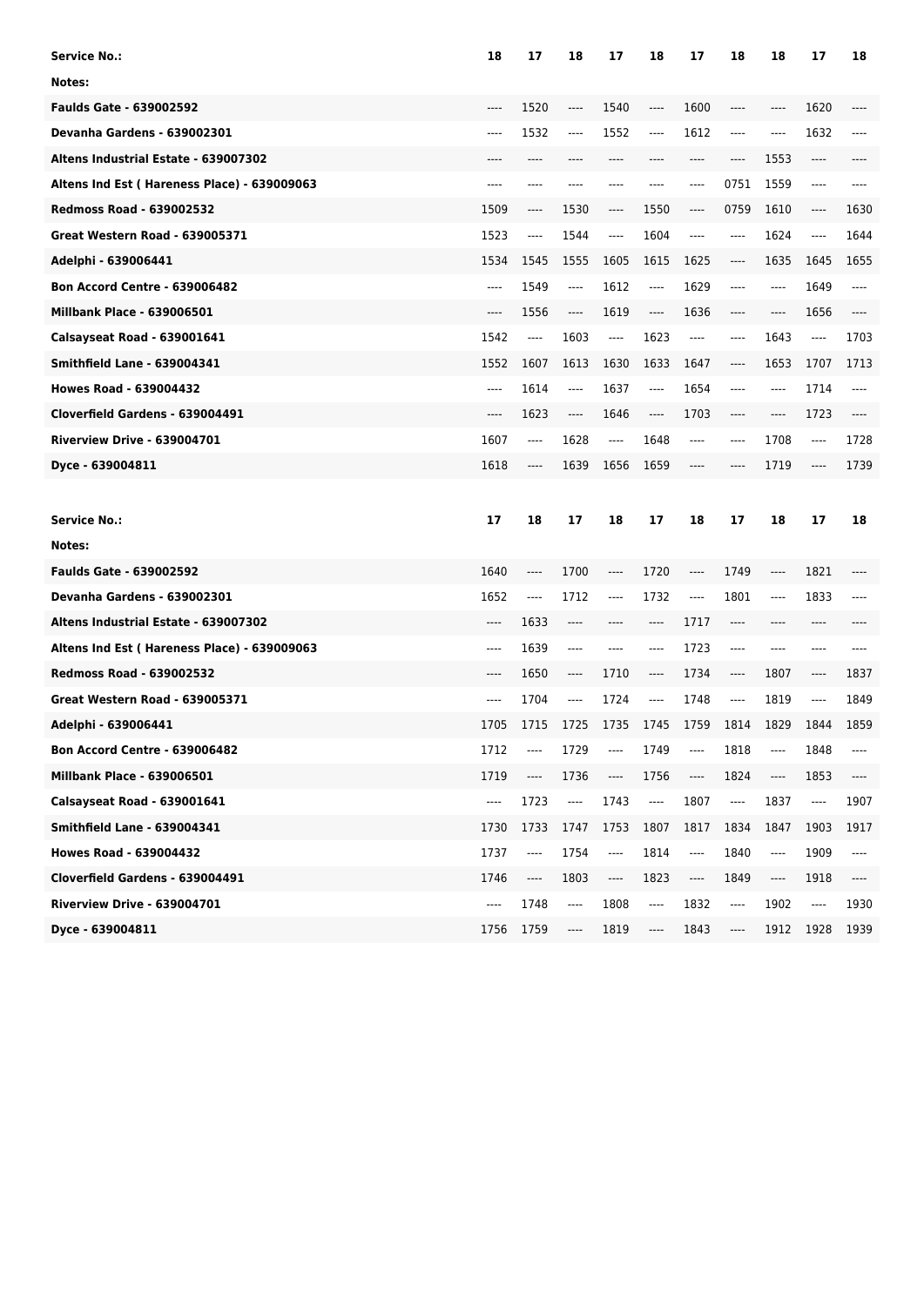| <b>Service No.:</b>                         | 18    | 17                            | 18                            | 17       | 18                       | 17                       | 18      | 18    | 17                            | 18   |
|---------------------------------------------|-------|-------------------------------|-------------------------------|----------|--------------------------|--------------------------|---------|-------|-------------------------------|------|
| Notes:                                      |       |                               |                               |          |                          |                          |         |       |                               |      |
| <b>Faulds Gate - 639002592</b>              | ----  | 1520                          | ----                          | 1540     | ----                     | 1600                     | ----    | ----  | 1620                          |      |
| <b>Devanha Gardens - 639002301</b>          | ----  | 1532                          | $\cdots$                      | 1552     | ----                     | 1612                     | $-----$ | ----  | 1632                          | ---- |
| Altens Industrial Estate - 639007302        | ----  | ----                          | ----                          | ----     | ----                     | ----                     | ----    | 1553  | ----                          |      |
| Altens Ind Est (Hareness Place) - 639009063 | ----  | ----                          |                               | ----     |                          | ----                     | 0751    | 1559  | $-----$                       | ---- |
| <b>Redmoss Road - 639002532</b>             | 1509  | ----                          | 1530                          | ----     | 1550                     | ----                     | 0759    | 1610  | $\hspace{1.5cm} \textbf{---}$ | 1630 |
| <b>Great Western Road - 639005371</b>       | 1523  | ----                          | 1544                          | $\cdots$ | 1604                     | ----                     | ----    | 1624  | ----                          | 1644 |
| Adelphi - 639006441                         | 1534  | 1545                          | 1555                          | 1605     | 1615                     | 1625                     | ----    | 1635  | 1645                          | 1655 |
| <b>Bon Accord Centre - 639006482</b>        | $---$ | 1549                          | $\cdots$                      | 1612     | ----                     | 1629                     | ----    | ----  | 1649                          | ---- |
| <b>Millbank Place - 639006501</b>           | ----  | 1556                          | ----                          | 1619     | ----                     | 1636                     | ----    | $---$ | 1656                          | ---- |
| Calsayseat Road - 639001641                 | 1542  | $\qquad \qquad - - -$         | 1603                          | ----     | 1623                     | $---$                    | ----    | 1643  | ----                          | 1703 |
| <b>Smithfield Lane - 639004341</b>          | 1552  | 1607                          | 1613                          | 1630     | 1633                     | 1647                     | ----    | 1653  | 1707                          | 1713 |
| <b>Howes Road - 639004432</b>               | $---$ | 1614                          | $\cdots$                      | 1637     | ----                     | 1654                     | ----    | ----  | 1714                          | ---- |
| Cloverfield Gardens - 639004491             | ----  | 1623                          | $\cdots$                      | 1646     | ----                     | 1703                     | ----    | ----  | 1723                          |      |
| <b>Riverview Drive - 639004701</b>          | 1607  | ----                          | 1628                          | ----     | 1648                     | ----                     | ----    | 1708  | $---$                         | 1728 |
| Dyce - 639004811                            | 1618  | ----                          | 1639                          | 1656     | 1659                     | ----                     | ----    | 1719  | ----                          | 1739 |
|                                             |       |                               |                               |          |                          |                          |         |       |                               |      |
|                                             |       |                               |                               |          |                          |                          |         |       |                               |      |
| <b>Service No.:</b>                         | 17    | 18                            | 17                            | 18       | 17                       | 18                       | 17      | 18    | 17                            | 18   |
| Notes:                                      |       |                               |                               |          |                          |                          |         |       |                               |      |
| <b>Faulds Gate - 639002592</b>              | 1640  | ----                          | 1700                          | ----     | 1720                     | ----                     | 1749    | ----  | 1821                          |      |
| <b>Devanha Gardens - 639002301</b>          | 1652  | $\hspace{1.5cm} \textbf{---}$ | 1712                          | ----     | 1732                     | $---$                    | 1801    | ----  | 1833                          |      |
| Altens Industrial Estate - 639007302        | ----  | 1633                          | ----                          | ----     | ----                     | 1717                     | $---$   | ----  | ----                          |      |
| Altens Ind Est (Hareness Place) - 639009063 | ----  | 1639                          | $---$                         | ----     | $---$                    | 1723                     | ----    | ----  | ----                          |      |
| <b>Redmoss Road - 639002532</b>             | ----  | 1650                          | $\hspace{1.5cm} \textbf{---}$ | 1710     | ----                     | 1734                     | ----    | 1807  | ----                          | 1837 |
| <b>Great Western Road - 639005371</b>       | ----  | 1704                          | $\cdots$                      | 1724     | ----                     | 1748                     | ----    | 1819  | ----                          | 1849 |
| Adelphi - 639006441                         | 1705  | 1715                          | 1725                          | 1735     | 1745                     | 1759                     | 1814    | 1829  | 1844                          | 1859 |
| <b>Bon Accord Centre - 639006482</b>        | 1712  |                               | 1729                          |          | 1749                     | ----                     | 1818    |       | 1848                          | ---- |
| Millbank Place - 639006501                  | 1719  | ----                          | 1736                          | ----     | 1756                     | ----                     | 1824    | ----  | 1853                          | ---- |
| Calsayseat Road - 639001641                 | ----  | 1723                          | $\overline{\phantom{a}}$      | 1743     | $\overline{\phantom{a}}$ | 1807                     | ----    | 1837  | $\overline{\phantom{a}}$      | 1907 |
| <b>Smithfield Lane - 639004341</b>          | 1730  | 1733                          | 1747                          | 1753     | 1807                     | 1817                     | 1834    | 1847  | 1903                          | 1917 |
| <b>Howes Road - 639004432</b>               | 1737  | ----                          | 1754                          | ----     | 1814                     | ----                     | 1840    | ----  | 1909                          | ---- |
| Cloverfield Gardens - 639004491             | 1746  | ----                          | 1803                          | ----     | 1823                     | $\overline{\phantom{a}}$ | 1849    | ----  | 1918                          | ---- |
| <b>Riverview Drive - 639004701</b>          | ----  | 1748                          | ----                          | 1808     | ----                     | 1832                     | ----    | 1902  | ----                          | 1930 |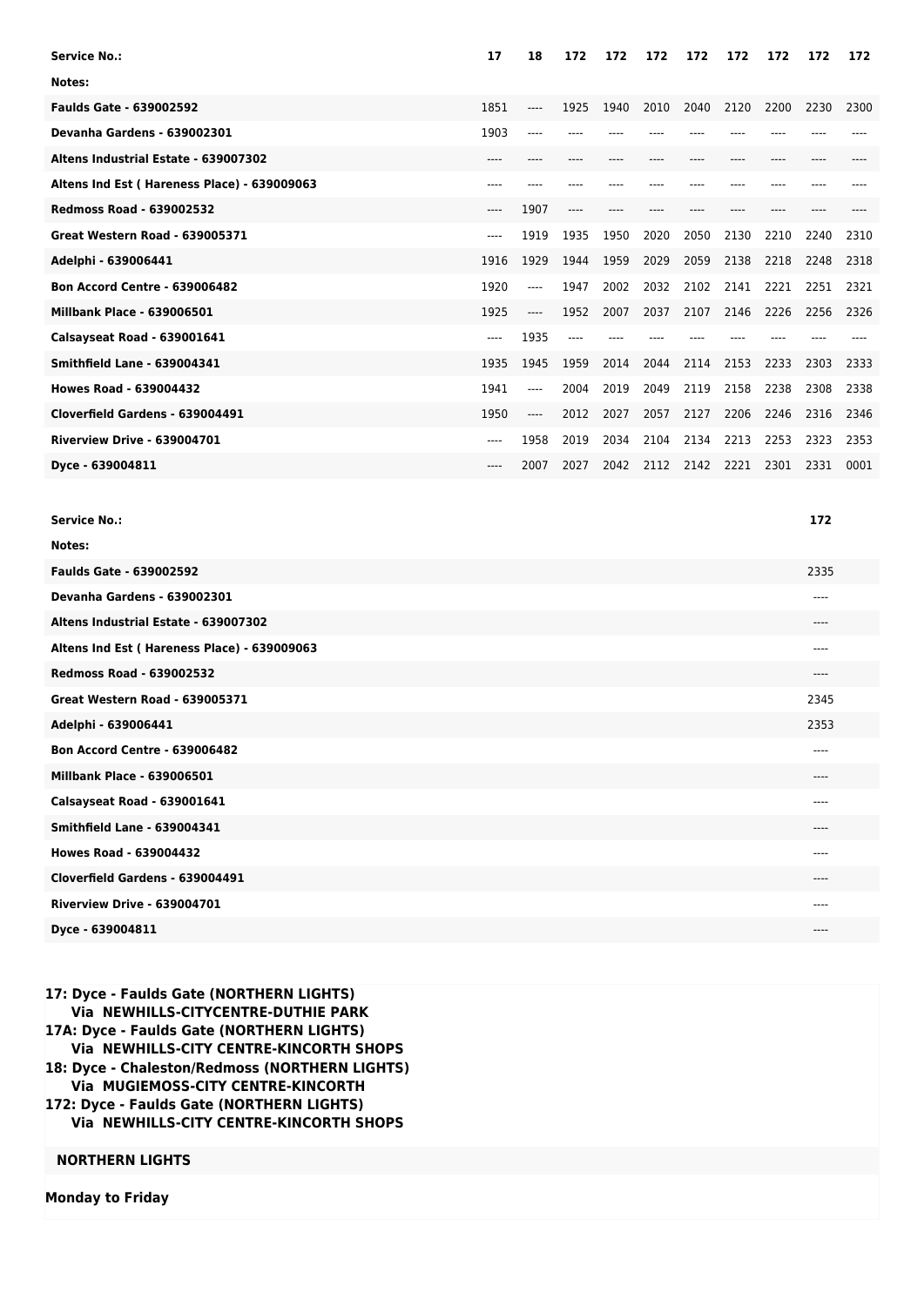| <b>Service No.:</b>                         | 17    | 18    | 172  | 172  | 172  | 172  | 172  | 172  | 172  | 172  |
|---------------------------------------------|-------|-------|------|------|------|------|------|------|------|------|
| Notes:                                      |       |       |      |      |      |      |      |      |      |      |
| <b>Faulds Gate - 639002592</b>              | 1851  | ----  | 1925 | 1940 | 2010 | 2040 | 2120 | 2200 | 2230 | 2300 |
| Devanha Gardens - 639002301                 | 1903  | ----  |      |      |      |      |      |      |      |      |
| Altens Industrial Estate - 639007302        | $---$ | ----  | ---- |      |      | ---- | ---- | ---- |      |      |
| Altens Ind Est (Hareness Place) - 639009063 |       |       |      |      |      |      |      |      |      |      |
| <b>Redmoss Road - 639002532</b>             | ----  | 1907  | ---- |      |      |      |      |      |      |      |
| <b>Great Western Road - 639005371</b>       | ----  | 1919  | 1935 | 1950 | 2020 | 2050 | 2130 | 2210 | 2240 | 2310 |
| Adelphi - 639006441                         | 1916  | 1929  | 1944 | 1959 | 2029 | 2059 | 2138 | 2218 | 2248 | 2318 |
| <b>Bon Accord Centre - 639006482</b>        | 1920  | ----  | 1947 | 2002 | 2032 | 2102 | 2141 | 2221 | 2251 | 2321 |
| <b>Millbank Place - 639006501</b>           | 1925  | $---$ | 1952 | 2007 | 2037 | 2107 | 2146 | 2226 | 2256 | 2326 |
| Calsayseat Road - 639001641                 | ----  | 1935  | ---- |      |      |      |      |      |      |      |
| <b>Smithfield Lane - 639004341</b>          | 1935  | 1945  | 1959 | 2014 | 2044 | 2114 | 2153 | 2233 | 2303 | 2333 |
| <b>Howes Road - 639004432</b>               | 1941  | ----  | 2004 | 2019 | 2049 | 2119 | 2158 | 2238 | 2308 | 2338 |
| Cloverfield Gardens - 639004491             | 1950  | ----  | 2012 | 2027 | 2057 | 2127 | 2206 | 2246 | 2316 | 2346 |
| <b>Riverview Drive - 639004701</b>          | ----  | 1958  | 2019 | 2034 | 2104 | 2134 | 2213 | 2253 | 2323 | 2353 |
| Dyce - 639004811                            | ----  | 2007  | 2027 | 2042 | 2112 | 2142 | 2221 | 2301 | 2331 | 0001 |
|                                             |       |       |      |      |      |      |      |      |      |      |

| <b>Service No.:</b>                         | 172   |
|---------------------------------------------|-------|
| Notes:                                      |       |
| <b>Faulds Gate - 639002592</b>              | 2335  |
| Devanha Gardens - 639002301                 | $---$ |
| Altens Industrial Estate - 639007302        | $---$ |
| Altens Ind Est (Hareness Place) - 639009063 | $---$ |
| <b>Redmoss Road - 639002532</b>             | $---$ |
| <b>Great Western Road - 639005371</b>       | 2345  |
| Adelphi - 639006441                         | 2353  |
| <b>Bon Accord Centre - 639006482</b>        | $---$ |
| <b>Millbank Place - 639006501</b>           | $---$ |
| Calsayseat Road - 639001641                 | $---$ |
| <b>Smithfield Lane - 639004341</b>          | $---$ |
| <b>Howes Road - 639004432</b>               | $---$ |
| Cloverfield Gardens - 639004491             | $---$ |
| <b>Riverview Drive - 639004701</b>          | ----  |
| Dyce - 639004811                            | $---$ |
|                                             |       |

## **17: Dyce - Faulds Gate (NORTHERN LIGHTS) Via NEWHILLS-CITYCENTRE-DUTHIE PARK 17A: Dyce - Faulds Gate (NORTHERN LIGHTS) Via NEWHILLS-CITY CENTRE-KINCORTH SHOPS 18: Dyce - Chaleston/Redmoss (NORTHERN LIGHTS) Via MUGIEMOSS-CITY CENTRE-KINCORTH 172: Dyce - Faulds Gate (NORTHERN LIGHTS) Via NEWHILLS-CITY CENTRE-KINCORTH SHOPS**

## **NORTHERN LIGHTS**

**Monday to Friday**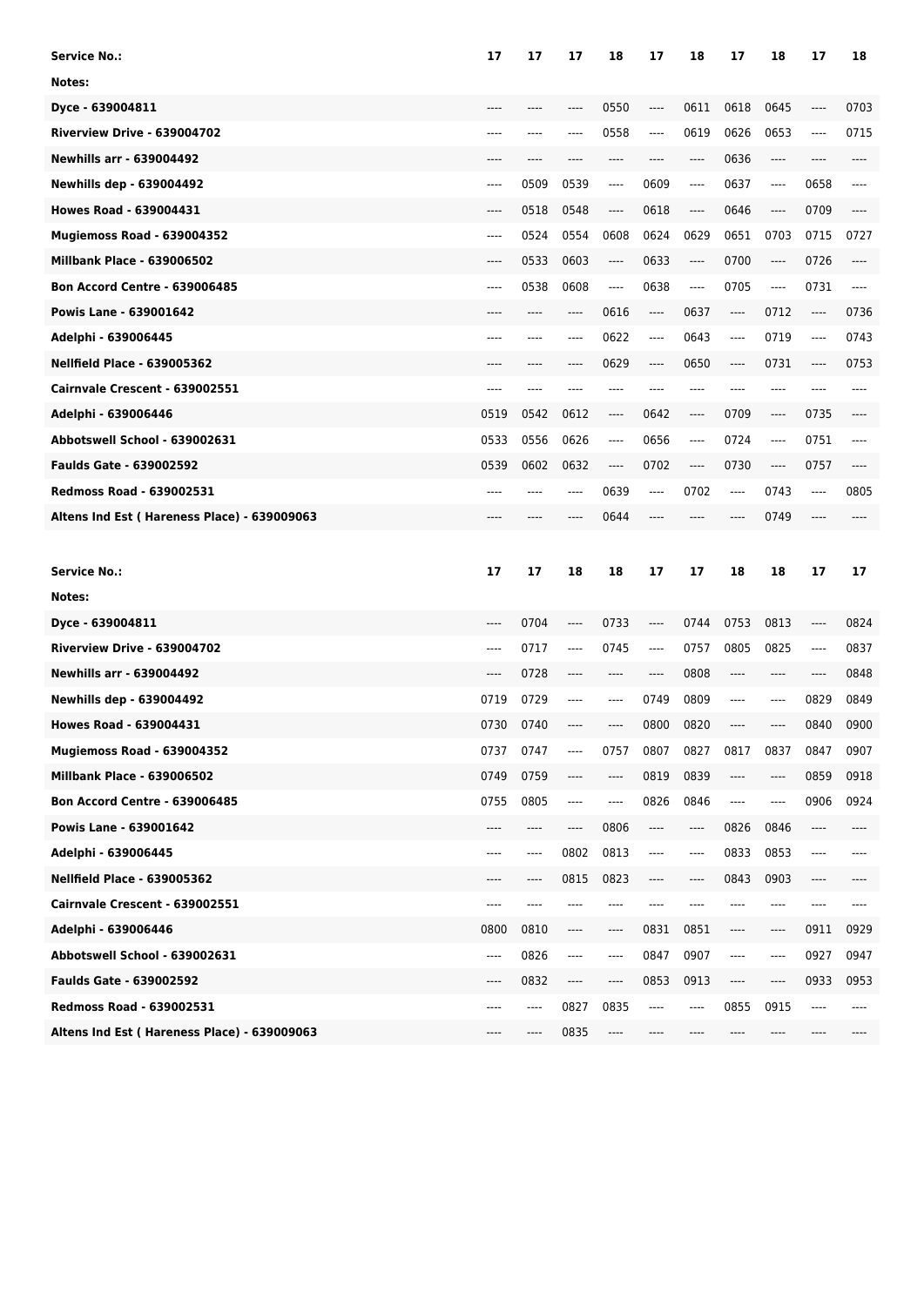| <b>Service No.:</b>                         | 17    | 17   | 17                            | 18       | 17   | 18       | 17   | 18      | 17    | 18    |
|---------------------------------------------|-------|------|-------------------------------|----------|------|----------|------|---------|-------|-------|
| Notes:                                      |       |      |                               |          |      |          |      |         |       |       |
| Dyce - 639004811                            | ----  |      | ----                          | 0550     | ---- | 0611     | 0618 | 0645    | ----  | 0703  |
| Riverview Drive - 639004702                 | ----  | ---- | ----                          | 0558     | ---- | 0619     | 0626 | 0653    | ----  | 0715  |
| <b>Newhills arr - 639004492</b>             | $---$ | ---- | ----                          | $---$    | ---- | $---$    | 0636 | $-----$ | ----  | ----  |
| <b>Newhills dep - 639004492</b>             | $---$ | 0509 | 0539                          | ----     | 0609 | ----     | 0637 | ----    | 0658  | ----  |
| <b>Howes Road - 639004431</b>               | $---$ | 0518 | 0548                          | ----     | 0618 | ----     | 0646 | ----    | 0709  | ----  |
| Mugiemoss Road - 639004352                  | $---$ | 0524 | 0554                          | 0608     | 0624 | 0629     | 0651 | 0703    | 0715  | 0727  |
| <b>Millbank Place - 639006502</b>           | $---$ | 0533 | 0603                          | ----     | 0633 | $\cdots$ | 0700 | ----    | 0726  | ----  |
| <b>Bon Accord Centre - 639006485</b>        | $---$ | 0538 | 0608                          | $---$    | 0638 | $---$    | 0705 | ----    | 0731  | $---$ |
| Powis Lane - 639001642                      | $---$ | ---- | $---$                         | 0616     | ---- | 0637     | ---- | 0712    | ----  | 0736  |
| Adelphi - 639006445                         | $---$ | ---- | $---$                         | 0622     | ---- | 0643     | ---- | 0719    | ----  | 0743  |
| <b>Nellfield Place - 639005362</b>          | $---$ | ---- | $---$                         | 0629     | ---- | 0650     | ---- | 0731    | ----  | 0753  |
| Cairnvale Crescent - 639002551              | $---$ | ---- | ----                          | $---$    | ---- | $---$    | ---- | ----    | ----  | ----  |
| Adelphi - 639006446                         | 0519  | 0542 | 0612                          | ----     | 0642 | $-----$  | 0709 | ----    | 0735  | ----  |
| Abbotswell School - 639002631               | 0533  | 0556 | 0626                          | ----     | 0656 | $---$    | 0724 | ----    | 0751  | $---$ |
| <b>Faulds Gate - 639002592</b>              | 0539  | 0602 | 0632                          | $\cdots$ | 0702 | ----     | 0730 | ----    | 0757  | ----  |
| <b>Redmoss Road - 639002531</b>             | $---$ | ---- | ----                          | 0639     | ---- | 0702     | ---- | 0743    | ----  | 0805  |
| Altens Ind Est (Hareness Place) - 639009063 | ----  |      | ----                          | 0644     | ---- | ----     | ---- | 0749    | $---$ | ----  |
|                                             |       |      |                               |          |      |          |      |         |       |       |
|                                             |       |      |                               |          |      |          |      |         |       |       |
| <b>Service No.:</b>                         | 17    | 17   | 18                            | 18       | 17   | 17       | 18   | 18      | 17    | 17    |
| Notes:                                      |       |      |                               |          |      |          |      |         |       |       |
| Dyce - 639004811                            | ----  | 0704 | ----                          | 0733     | ---- | 0744     | 0753 | 0813    | ----  | 0824  |
| Riverview Drive - 639004702                 | ----  | 0717 | ----                          | 0745     | ---- | 0757     | 0805 | 0825    | ----  | 0837  |
| <b>Newhills arr - 639004492</b>             | ----  | 0728 | ----                          |          | ---- | 0808     | ---- | ----    |       | 0848  |
| <b>Newhills dep - 639004492</b>             | 0719  | 0729 | ----                          | ----     | 0749 | 0809     | ---- | ----    | 0829  | 0849  |
| <b>Howes Road - 639004431</b>               | 0730  | 0740 | ----                          | ----     | 0800 | 0820     | ---- | ----    | 0840  | 0900  |
| Mugiemoss Road - 639004352                  | 0737  | 0747 |                               | 0757     | 0807 | 0827     | 0817 | 0837    | 0847  | 0907  |
| <b>Millbank Place - 639006502</b>           | 0749  | 0759 | ----                          | ----     | 0819 | 0839     | ---- | ----    | 0859  | 0918  |
| <b>Bon Accord Centre - 639006485</b>        | 0755  | 0805 | ----                          | ----     | 0826 | 0846     | ---- | ----    | 0906  | 0924  |
| Powis Lane - 639001642                      | ----  | ---- | $\hspace{1.5cm} \textbf{---}$ | 0806     | ---- | ----     | 0826 | 0846    | ----  | ----  |
| Adelphi - 639006445                         | ----  | ---- | 0802                          | 0813     | ---- | ----     | 0833 | 0853    | ----  | ----  |
| <b>Nellfield Place - 639005362</b>          | ----  | ---- | 0815                          | 0823     | ---- | ----     | 0843 | 0903    | ----  | ----  |
| Cairnvale Crescent - 639002551              | ----  | ---- | ----                          | ----     |      |          | ---- | ----    | ----  |       |
| Adelphi - 639006446                         | 0800  | 0810 | ----                          | ----     | 0831 | 0851     | ---- | ----    | 0911  | 0929  |
| Abbotswell School - 639002631               | ----  | 0826 | $\hspace{1.5cm} \textbf{---}$ | ----     | 0847 | 0907     | ---- | ----    | 0927  | 0947  |
| Faulds Gate - 639002592                     | ----  | 0832 | $\hspace{1.5cm} \textbf{---}$ | ----     | 0853 | 0913     | ---- | ----    | 0933  | 0953  |
| Redmoss Road - 639002531                    | ----  | ---- | 0827                          | 0835     | ---- | ----     | 0855 | 0915    | ----  |       |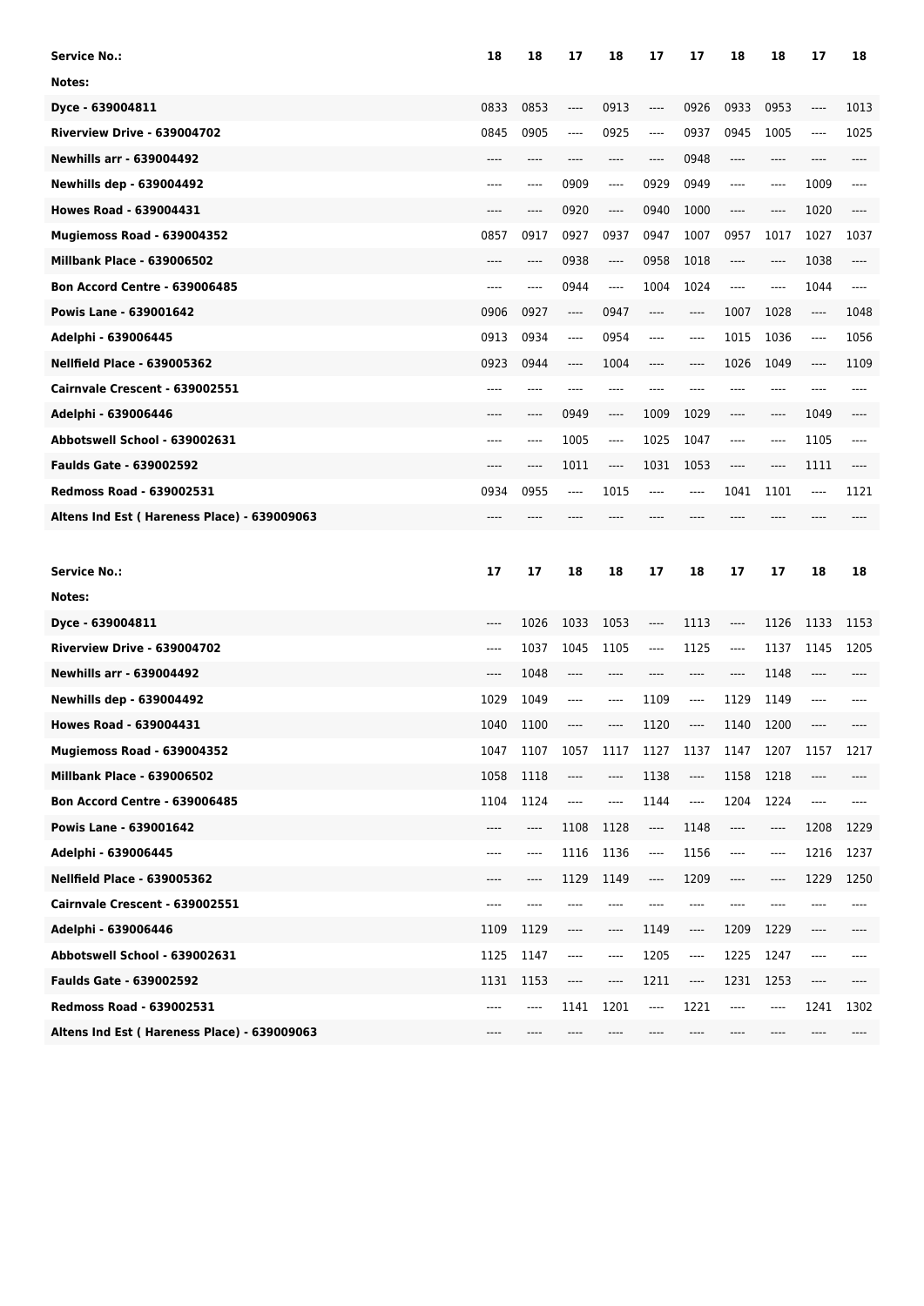| Service No.:                                | 18   | 18    | 17                            | 18    | 17                       | 17                            | 18   | 18                            | 17                            | 18   |
|---------------------------------------------|------|-------|-------------------------------|-------|--------------------------|-------------------------------|------|-------------------------------|-------------------------------|------|
| Notes:                                      |      |       |                               |       |                          |                               |      |                               |                               |      |
| Dyce - 639004811                            | 0833 | 0853  | ----                          | 0913  | ----                     | 0926                          | 0933 | 0953                          | ----                          | 1013 |
| Riverview Drive - 639004702                 | 0845 | 0905  | $\hspace{1.5cm} \textbf{---}$ | 0925  | ----                     | 0937                          | 0945 | 1005                          | $\cdots$                      | 1025 |
| <b>Newhills arr - 639004492</b>             | ---- | ----  | $---$                         | ----  | ----                     | 0948                          | ---- | ----                          | ----                          | ---- |
| <b>Newhills dep - 639004492</b>             | ---- | ----  | 0909                          | ----  | 0929                     | 0949                          | ---- | ----                          | 1009                          | ---- |
| <b>Howes Road - 639004431</b>               |      | ----  | 0920                          | ----  | 0940                     | 1000                          | ---- | ----                          | 1020                          |      |
| Mugiemoss Road - 639004352                  | 0857 | 0917  | 0927                          | 0937  | 0947                     | 1007                          | 0957 | 1017                          | 1027                          | 1037 |
| <b>Millbank Place - 639006502</b>           | ---- | ----  | 0938                          | ----  | 0958                     | 1018                          | ---- | ----                          | 1038                          | ---- |
| <b>Bon Accord Centre - 639006485</b>        | ---- | ----  | 0944                          | ----  | 1004                     | 1024                          | ---- | ----                          | 1044                          | ---- |
| <b>Powis Lane - 639001642</b>               | 0906 | 0927  | $\hspace{1.5cm} \textbf{---}$ | 0947  | ----                     | $-----$                       | 1007 | 1028                          | $---$                         | 1048 |
| Adelphi - 639006445                         | 0913 | 0934  | $\hspace{1.5cm} \textbf{---}$ | 0954  | ----                     | $---$                         | 1015 | 1036                          | $---$                         | 1056 |
| <b>Nellfield Place - 639005362</b>          | 0923 | 0944  | ----                          | 1004  | ----                     | $\hspace{1.5cm} \textbf{---}$ | 1026 | 1049                          | ----                          | 1109 |
| Cairnvale Crescent - 639002551              | ---- | ----  | ----                          | ----  | ----                     | ----                          | ---- | ----                          | ----                          |      |
| Adelphi - 639006446                         |      | ----  | 0949                          | ----  | 1009                     | 1029                          | ---- | ----                          | 1049                          |      |
| Abbotswell School - 639002631               | ---- | ----  | 1005                          | $---$ | 1025                     | 1047                          | ---- | ----                          | 1105                          | ---- |
| <b>Faulds Gate - 639002592</b>              | ---- | ----  | 1011                          | ----  | 1031                     | 1053                          | ---- | ----                          | 1111                          | ---- |
| <b>Redmoss Road - 639002531</b>             | 0934 | 0955  | $---$                         | 1015  | ----                     | ----                          | 1041 | 1101                          | ----                          | 1121 |
| Altens Ind Est (Hareness Place) - 639009063 |      |       |                               |       |                          |                               |      |                               |                               |      |
|                                             |      |       |                               |       |                          |                               |      |                               |                               |      |
|                                             |      |       |                               |       |                          |                               |      |                               |                               |      |
| <b>Service No.:</b>                         | 17   | 17    | 18                            | 18    | 17                       | 18                            | 17   | 17                            | 18                            | 18   |
| Notes:                                      |      |       |                               |       |                          |                               |      |                               |                               |      |
| Dyce - 639004811                            | ---- | 1026  | 1033                          | 1053  | $-----$                  | 1113                          | ---- | 1126                          | 1133                          | 1153 |
| Riverview Drive - 639004702                 | ---- | 1037  | 1045                          | 1105  | $---$                    | 1125                          | ---- | 1137                          | 1145                          | 1205 |
| <b>Newhills arr - 639004492</b>             | ---- | 1048  | $---$                         | ----  |                          | ----                          | ---- | 1148                          | ----                          |      |
| <b>Newhills dep - 639004492</b>             | 1029 | 1049  | $-----$                       | ----  | 1109                     | $\cdots$                      | 1129 | 1149                          | ----                          |      |
| <b>Howes Road - 639004431</b>               | 1040 | 1100  | ----                          | ----  | 1120                     | $\hspace{1.5cm} \textbf{---}$ | 1140 | 1200                          | ----                          |      |
| Mugiemoss Road - 639004352                  | 1047 | 1107  | 1057                          | 1117  | 1127                     | 1137                          | 1147 | 1207                          | 1157                          | 1217 |
| <b>Millbank Place - 639006502</b>           | 1058 | 1118  | $\hspace{1.5cm} \textbf{---}$ | ----  | 1138                     | ----                          | 1158 | 1218                          | ----                          |      |
| <b>Bon Accord Centre - 639006485</b>        | 1104 | 1124  | ----                          | ----  | 1144                     | $\overline{\phantom{a}}$      | 1204 | 1224                          | ----                          | ---- |
| Powis Lane - 639001642                      | ---- | ----  | 1108                          | 1128  | ----                     | 1148                          | ---- | ----                          | 1208                          | 1229 |
| Adelphi - 639006445                         | ---- | $---$ | 1116                          | 1136  | $\overline{\phantom{a}}$ | 1156                          | ---- | ----                          | 1216                          | 1237 |
| <b>Nellfield Place - 639005362</b>          | ---- | ----  | 1129                          | 1149  | $\cdots$                 | 1209                          | ---- | ----                          | 1229                          | 1250 |
| Cairnvale Crescent - 639002551              | ---- | ----  | ----                          | ----  |                          | $\hspace{1.5cm} \textbf{---}$ | ---- | ----                          |                               |      |
| Adelphi - 639006446                         | 1109 | 1129  | $\hspace{1.5cm} \textbf{---}$ | ----  | 1149                     | ----                          | 1209 | 1229                          | ----                          |      |
| Abbotswell School - 639002631               | 1125 | 1147  | ----                          | ----  | 1205                     | $\overline{\phantom{a}}$      | 1225 | 1247                          | ----                          | ---- |
| <b>Faulds Gate - 639002592</b>              | 1131 | 1153  | ----                          | ----  | 1211                     | ----                          | 1231 | 1253                          | $\hspace{1.5cm} \textbf{---}$ |      |
| Redmoss Road - 639002531                    | ---- | ----  | 1141                          | 1201  | ----                     | 1221                          | ---- | $\hspace{1.5cm} \textbf{---}$ | 1241                          | 1302 |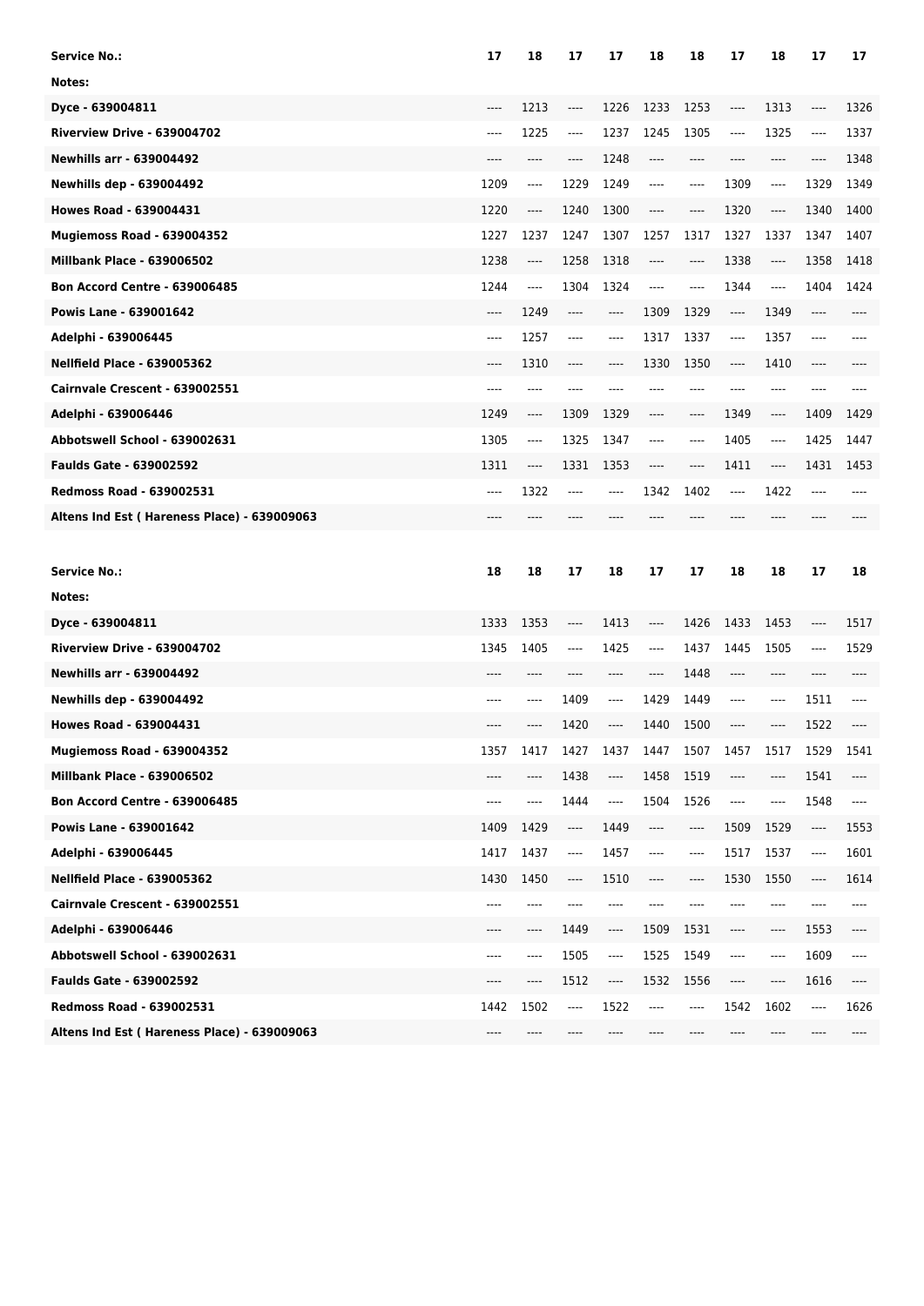| Service No.:                                | 17   | 18   | 17                            | 17   | 18                            | 18                                           | 17                            | 18                            | 17                            | 17                            |
|---------------------------------------------|------|------|-------------------------------|------|-------------------------------|----------------------------------------------|-------------------------------|-------------------------------|-------------------------------|-------------------------------|
| Notes:                                      |      |      |                               |      |                               |                                              |                               |                               |                               |                               |
| Dyce - 639004811                            | ---- | 1213 | ----                          | 1226 | 1233                          | 1253                                         | ----                          | 1313                          | ----                          | 1326                          |
| Riverview Drive - 639004702                 | ---- | 1225 | ----                          | 1237 | 1245                          | 1305                                         | ----                          | 1325                          | $\cdots$                      | 1337                          |
| <b>Newhills arr - 639004492</b>             | ---- | ---- | $-----$                       | 1248 | ----                          | ----                                         | ----                          | ----                          | ----                          | 1348                          |
| <b>Newhills dep - 639004492</b>             | 1209 | ---- | 1229                          | 1249 | ----                          | $\cdots$                                     | 1309                          | ----                          | 1329                          | 1349                          |
| <b>Howes Road - 639004431</b>               | 1220 | ---- | 1240                          | 1300 | ----                          | $-----$                                      | 1320                          | ----                          | 1340                          | 1400                          |
| Mugiemoss Road - 639004352                  | 1227 | 1237 | 1247                          | 1307 | 1257                          | 1317                                         | 1327                          | 1337                          | 1347                          | 1407                          |
| <b>Millbank Place - 639006502</b>           | 1238 | ---- | 1258                          | 1318 | ----                          | $\hspace{1.5cm} \textbf{---} \hspace{1.5cm}$ | 1338                          | ----                          | 1358                          | 1418                          |
| <b>Bon Accord Centre - 639006485</b>        | 1244 | ---- | 1304                          | 1324 | ----                          | $\cdots$                                     | 1344                          | $\hspace{1.5cm} \textbf{---}$ | 1404                          | 1424                          |
| Powis Lane - 639001642                      | ---- | 1249 | $-----$                       | ---- | 1309                          | 1329                                         | $\hspace{1.5cm} \textbf{---}$ | 1349                          | ----                          |                               |
| Adelphi - 639006445                         | ---- | 1257 | $-----$                       | ---- | 1317                          | 1337                                         | ----                          | 1357                          | $-- -$                        |                               |
| <b>Nellfield Place - 639005362</b>          | ---- | 1310 | $\hspace{1.5cm} \textbf{---}$ | ---- | 1330                          | 1350                                         | $\hspace{1.5cm} \textbf{---}$ | 1410                          | $\hspace{1.5cm} \textbf{---}$ |                               |
| Cairnvale Crescent - 639002551              | ---- | ---- | ----                          | ---- |                               | ----                                         | ----                          | ----                          | ----                          |                               |
| Adelphi - 639006446                         | 1249 | ---- | 1309                          | 1329 |                               | $-----$                                      | 1349                          | ----                          | 1409                          | 1429                          |
| Abbotswell School - 639002631               | 1305 | ---- | 1325                          | 1347 | ----                          | $-----$                                      | 1405                          | ----                          | 1425                          | 1447                          |
| <b>Faulds Gate - 639002592</b>              | 1311 | ---- | 1331                          | 1353 | ----                          | $\hspace{1.5cm} \textbf{---}$                | 1411                          | ----                          | 1431                          | 1453                          |
| <b>Redmoss Road - 639002531</b>             | ---- | 1322 | $---$                         | ---- | 1342                          | 1402                                         | ----                          | 1422                          |                               |                               |
| Altens Ind Est (Hareness Place) - 639009063 |      |      |                               |      |                               |                                              |                               |                               |                               |                               |
|                                             |      |      |                               |      |                               |                                              |                               |                               |                               |                               |
|                                             |      |      |                               |      |                               |                                              |                               |                               |                               |                               |
| <b>Service No.:</b>                         | 18   | 18   | 17                            | 18   | 17                            | 17                                           | 18                            | 18                            | 17                            | 18                            |
| Notes:                                      |      |      |                               |      |                               |                                              |                               |                               |                               |                               |
| Dyce - 639004811                            | 1333 | 1353 | ----                          | 1413 | $\hspace{1.5cm} \textbf{---}$ | 1426                                         | 1433                          | 1453                          | $\hspace{1.5cm} \textbf{---}$ | 1517                          |
| Riverview Drive - 639004702                 | 1345 | 1405 | $---$                         | 1425 | $---$                         | 1437                                         | 1445                          | 1505                          | $---$                         | 1529                          |
| <b>Newhills arr - 639004492</b>             | ---- | ---- |                               | ---- | $---$                         | 1448                                         | $---$                         | ----                          |                               |                               |
| <b>Newhills dep - 639004492</b>             | ---- | ---- | 1409                          | ---- | 1429                          | 1449                                         | ----                          | $---$                         | 1511                          | ----                          |
| <b>Howes Road - 639004431</b>               | ---- | ---- | 1420                          | ---- | 1440                          | 1500                                         | $---$                         | ----                          | 1522                          |                               |
| Mugiemoss Road - 639004352                  | 1357 | 1417 | 1427                          | 1437 | 1447                          | 1507                                         | 1457                          | 1517                          | 1529                          | 1541                          |
| <b>Millbank Place - 639006502</b>           | ---- | ---- | 1438                          | ---- | 1458                          | 1519                                         | ----                          | ----                          | 1541                          | ----                          |
| <b>Bon Accord Centre - 639006485</b>        | ---- | ---- | 1444                          | ---- | 1504                          | 1526                                         | ----                          | ----                          | 1548                          | $\hspace{1.5cm} \textbf{---}$ |
| Powis Lane - 639001642                      | 1409 | 1429 | ----                          | 1449 | ----                          | ----                                         | 1509                          | 1529                          | ----                          | 1553                          |
| Adelphi - 639006445                         | 1417 | 1437 | ----                          | 1457 | ----                          | ----                                         | 1517                          | 1537                          | ----                          | 1601                          |
| <b>Nellfield Place - 639005362</b>          | 1430 | 1450 | $\cdots$                      | 1510 | ----                          | ----                                         | 1530                          | 1550                          | $---$                         | 1614                          |
| Cairnvale Crescent - 639002551              | ---- | ---- | ----                          | ---- | ----                          | $---$                                        | ----                          | ----                          | ----                          | ----                          |
| Adelphi - 639006446                         | ---- | ---- | 1449                          | ---- | 1509                          | 1531                                         | ----                          | $\hspace{1.5cm} \textbf{---}$ | 1553                          | ----                          |
| Abbotswell School - 639002631               | ---- | ---- | 1505                          | ---- | 1525                          | 1549                                         | ----                          | $\hspace{1.5cm} \textbf{---}$ | 1609                          | ----                          |
| <b>Faulds Gate - 639002592</b>              | ---- | ---- | 1512                          | ---- | 1532                          | 1556                                         | ----                          | ----                          | 1616                          | ----                          |
| Redmoss Road - 639002531                    | 1442 | 1502 | ----                          | 1522 | $---$                         | ----                                         | 1542                          | 1602                          | ----                          | 1626                          |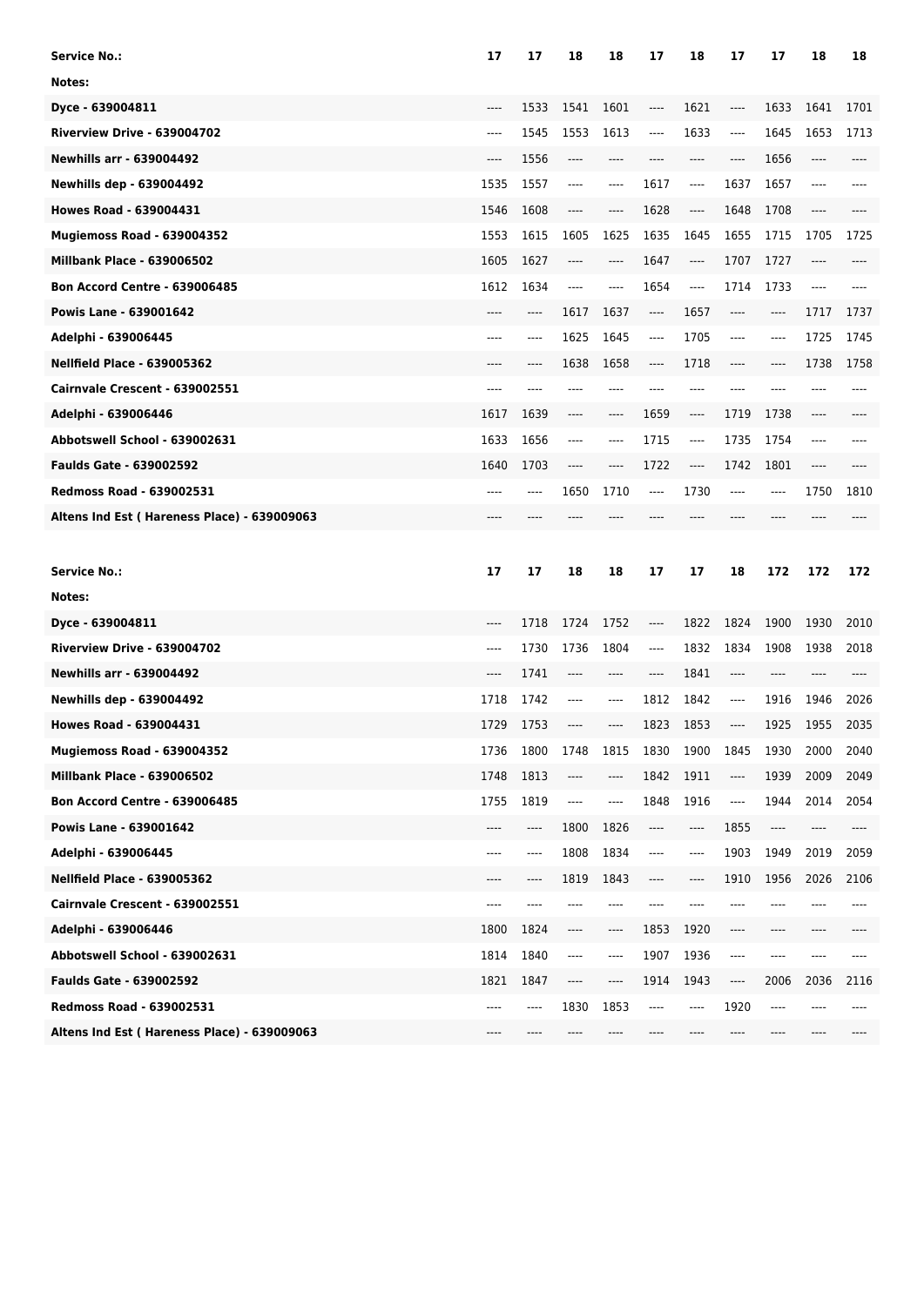| Service No.:                                | 17   | 17   | 18                            | 18   | 17                            | 18                            | 17      | 17                            | 18                            | 18   |
|---------------------------------------------|------|------|-------------------------------|------|-------------------------------|-------------------------------|---------|-------------------------------|-------------------------------|------|
| Notes:                                      |      |      |                               |      |                               |                               |         |                               |                               |      |
| Dyce - 639004811                            | ---- | 1533 | 1541                          | 1601 | ----                          | 1621                          | ----    | 1633                          | 1641                          | 1701 |
| Riverview Drive - 639004702                 | ---- | 1545 | 1553                          | 1613 | ----                          | 1633                          | ----    | 1645                          | 1653                          | 1713 |
| <b>Newhills arr - 639004492</b>             | ---- | 1556 | $-----$                       | ---- | ----                          | ----                          | $-----$ | 1656                          | ----                          |      |
| <b>Newhills dep - 639004492</b>             | 1535 | 1557 | $-----$                       | ---- | 1617                          | $-----$                       | 1637    | 1657                          | $---$                         |      |
| <b>Howes Road - 639004431</b>               | 1546 | 1608 | $\cdots$                      | ---- | 1628                          | ----                          | 1648    | 1708                          | ----                          |      |
| Mugiemoss Road - 639004352                  | 1553 | 1615 | 1605                          | 1625 | 1635                          | 1645                          | 1655    | 1715                          | 1705                          | 1725 |
| <b>Millbank Place - 639006502</b>           | 1605 | 1627 | $\hspace{1.5cm} \textbf{---}$ | ---- | 1647                          | $---$                         | 1707    | 1727                          | $\hspace{1.5cm} \textbf{---}$ |      |
| <b>Bon Accord Centre - 639006485</b>        | 1612 | 1634 | $-----$                       | ---- | 1654                          | $-----$                       | 1714    | 1733                          | ----                          |      |
| Powis Lane - 639001642                      |      | ---- | 1617                          | 1637 | $\hspace{1.5cm} \textbf{---}$ | 1657                          | $-----$ | ----                          | 1717                          | 1737 |
| Adelphi - 639006445                         | ---- | ---- | 1625                          | 1645 | $-----$                       | 1705                          | $-----$ | ----                          | 1725                          | 1745 |
| <b>Nellfield Place - 639005362</b>          | ---- | ---- | 1638                          | 1658 | ----                          | 1718                          | $---$   | ----                          | 1738                          | 1758 |
| Cairnvale Crescent - 639002551              | ---- | ---- |                               | ---- | ----                          | $---$                         | ----    | ----                          |                               |      |
| Adelphi - 639006446                         | 1617 | 1639 | $-----$                       | ---- | 1659                          | $---$                         | 1719    | 1738                          |                               |      |
| Abbotswell School - 639002631               | 1633 | 1656 | $-----$                       | ---- | 1715                          | $-----$                       | 1735    | 1754                          | ----                          |      |
| <b>Faulds Gate - 639002592</b>              | 1640 | 1703 | $\cdots$                      | ---- | 1722                          | $---$                         | 1742    | 1801                          | $\hspace{1.5cm} \textbf{---}$ |      |
| <b>Redmoss Road - 639002531</b>             | ---- |      | 1650                          | 1710 | $-----$                       | 1730                          | $---$   | ----                          | 1750                          | 1810 |
| Altens Ind Est (Hareness Place) - 639009063 |      |      |                               |      |                               |                               |         |                               |                               |      |
|                                             |      |      |                               |      |                               |                               |         |                               |                               |      |
|                                             |      |      |                               |      |                               |                               |         |                               |                               |      |
| <b>Service No.:</b>                         | 17   | 17   | 18                            | 18   | 17                            | 17                            | 18      | 172                           | 172                           | 172  |
| Notes:                                      |      |      |                               |      |                               |                               |         |                               |                               |      |
| Dyce - 639004811                            | ---- | 1718 | 1724                          | 1752 | $\hspace{1.5cm} \textbf{---}$ | 1822                          | 1824    | 1900                          | 1930                          | 2010 |
| Riverview Drive - 639004702                 | ---- | 1730 | 1736                          | 1804 | $\hspace{1.5cm} \textbf{---}$ | 1832                          | 1834    | 1908                          | 1938                          | 2018 |
| <b>Newhills arr - 639004492</b>             | ---- | 1741 | $---$                         | ---- | $---$                         | 1841                          | $---$   | ----                          | $---$                         |      |
| <b>Newhills dep - 639004492</b>             | 1718 | 1742 | $---$                         | ---- | 1812                          | 1842                          | $---$   | 1916                          | 1946                          | 2026 |
| <b>Howes Road - 639004431</b>               | 1729 | 1753 | $---$                         | ---- | 1823                          | 1853                          | $-----$ | 1925                          | 1955                          | 2035 |
| Mugiemoss Road - 639004352                  | 1736 | 1800 | 1748                          | 1815 | 1830                          | 1900                          | 1845    | 1930                          | 2000                          | 2040 |
| <b>Millbank Place - 639006502</b>           | 1748 | 1813 | ----                          | ---- | 1842                          | 1911                          | ----    | 1939                          | 2009                          | 2049 |
| <b>Bon Accord Centre - 639006485</b>        | 1755 | 1819 | ----                          | ---- | 1848                          | 1916                          | ----    | 1944                          | 2014                          | 2054 |
| Powis Lane - 639001642                      | ---- | ---- | 1800                          | 1826 | $\hspace{1.5cm} \textbf{---}$ | ----                          | 1855    | $\hspace{1.5cm} \textbf{---}$ | $\cdots$                      | ---- |
| Adelphi - 639006445                         | ---- | ---- | 1808                          | 1834 | ----                          | $\hspace{1.5cm} \textbf{---}$ | 1903    | 1949                          | 2019                          | 2059 |
| <b>Nellfield Place - 639005362</b>          | ---- | ---- | 1819                          | 1843 | ----                          | $\cdots$                      | 1910    | 1956                          | 2026                          | 2106 |
| Cairnvale Crescent - 639002551              | ---- | ---- | ----                          | ---- | ----                          | $---$                         | ----    | ----                          |                               |      |
| Adelphi - 639006446                         | 1800 | 1824 | $\hspace{1.5cm} \textbf{---}$ | ---- | 1853                          | 1920                          | ----    | ----                          | $---$                         |      |
| Abbotswell School - 639002631               | 1814 | 1840 | ----                          | ---- | 1907                          | 1936                          | ----    | $---$                         | $---$                         | ---- |
| <b>Faulds Gate - 639002592</b>              | 1821 | 1847 | ----                          | ---- | 1914                          | 1943                          | ----    | 2006                          | 2036                          | 2116 |
| Redmoss Road - 639002531                    | ---- | ---- | 1830                          | 1853 | $---$                         | ----                          | 1920    | $---$                         |                               |      |